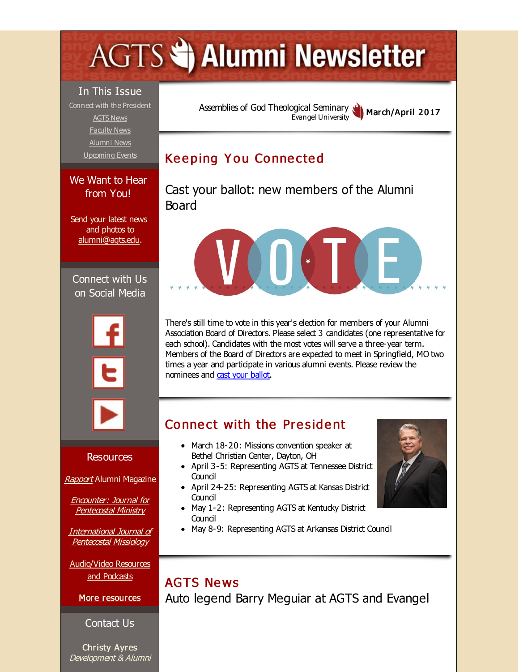# <span id="page-0-0"></span>**AGTS Statement Newsletter**

#### In This Issue

Connect with the [President](#page-0-0) [AGTS](#page-0-0) News [Faculty](#page-0-0) News [Alumni](#page-0-0) News [Upcoming](#page-0-0) Events

We Want to Hear from You!

Send your latest news and photos to [alumni@agts.edu.](mailto:alumni@agts.edu)

Connect with Us on Social Media





#### **Resources**

[Rapport](http://r20.rs6.net/tn.jsp?f=0011hiZm_TovUAi55Nh17sjl9_RqQByPQG5SdzwVeJloWcy0YH17lW7os_hmrzdjdogfYwOjaU4pY67WiwoEl9YKSfcDHeOMF9_lPVnxzFGHIkt2ETTgJf7DGM5CC-YQvP8Z97PnkViJ5fPpOeAc9dP4OX0r5_LhQOsorusX68koA5ib-DNrgPmEdlceqiwJ6Rb&c=&ch=) Alumni Magazine

Encounter: Journal for [Pentecostal](http://r20.rs6.net/tn.jsp?f=0011hiZm_TovUAi55Nh17sjl9_RqQByPQG5SdzwVeJloWcy0YH17lW7oibgf4WBCqC6r-IP4gIlDMgMrOQI8P6JlHDR8o01Jip_2xTv5lTMENq10DSb2dmhKVKSk73VeVBFaGLwvAm9GdjR_fke2iQddcJQKADEkqrxYvIwL4g3hUHrQABIEFIAViVeFzcIwM6K&c=&ch=) Ministry

[International](http://r20.rs6.net/tn.jsp?f=0011hiZm_TovUAi55Nh17sjl9_RqQByPQG5SdzwVeJloWcy0YH17lW7oqJ2zGd_JSUMUAqhDinoJ8lqFeJeMo8bmyHMX80wzO76uLTQ4q_qNwlje1QetMG_V1u156YUK7C5qPNGcgEfvL5f97LBBm2-MW8YpG-GulWRc6Erg-I3zKYNbt4I5hLb9Nk3oChehSZf&c=&ch=) Journal of Pentecostal Missiology

[Audio/Video](http://r20.rs6.net/tn.jsp?f=0011hiZm_TovUAi55Nh17sjl9_RqQByPQG5SdzwVeJloWcy0YH17lW7oj-EWUHeae_uWzUE_TA9_hzY0TESZ9o3X8Bk_vkIDM0SZ57f2CaBMRBAmlU5ZhLR6WYZ66zwtoX4MuTZhUro0s8Qm_LoADOUenwWEFjyBfdo484RzBLskaXsyLsHY_FvBcsNDKwjLeF_&c=&ch=) Resources and Podcasts

More [resources](http://r20.rs6.net/tn.jsp?f=0011hiZm_TovUAi55Nh17sjl9_RqQByPQG5SdzwVeJloWcy0YH17lW7olaQRYoq4awjkM-65w6pnHjeijXwp9zQ-8dXJP-jfqCn0Ubq-P_58rxz2C8a42-LgGuH1MsJFQDG7XKqH1kNjG55I_hedOsf-yRWFX2Fxh6VbF3E8O3ypg6Mo3sBc2yridLpP5CmjwpmkH3k28Oxl14=&c=&ch=)

#### Contact Us

Christy Ayres Development & Alumni Assemblies of God [Theological](http://r20.rs6.net/tn.jsp?f=0011hiZm_TovUAi55Nh17sjl9_RqQByPQG5SdzwVeJloWcy0YH17lW7orgHjYdUJWUqoUsMFLl3WX-zCSaug6nTmm3g8uU9xUDG5viq3m4D2uug4cw5A0mCOnWzPje28ZYavK-kP9VcVGn1nhqh7WWucFBiLDt1Y19X&c=&ch=) Seminary Evangel University March/April 2017

# **Keeping You Connected**

Cast your ballot: new members of the Alumni Board



There's still time to vote in this year's election for members of your Alumni Association Board of Directors. Please select 3 candidates (one representative for each school). Candidates with the most votes will serve a three-year term. Members of the Board of Directors are expected to meet in Springfield, MO two times a year and participate in various alumni events. Please review the nominees and cast your [ballot](http://r20.rs6.net/tn.jsp?f=0011hiZm_TovUAi55Nh17sjl9_RqQByPQG5SdzwVeJloWcy0YH17lW7oq_sQd4oZqhvEESsQqdje8qoD1N5ll_00jzoR73Lvzwn5teKwzCa5gwykvfI_ZY71krh1Po_W8StqTzi3IJjRWAGFubnimez9IVutJ8oiqE6HgFlnAXJV44gNKGk46_4yg==&c=&ch=).

## Connect with the President

- March 18-20: Missions convention speaker at Bethel Christian Center, Dayton, OH
- April 3-5: Representing AGTS at Tennessee District **Council**
- April 24-25: Representing AGTS at Kansas District Council
- May 1-2: Representing AGTS at Kentucky District Council
- May 8-9: Representing AGTS at Arkansas District Council

### **AGTS News** Auto legend Barry Meguiar at AGTS and Evangel

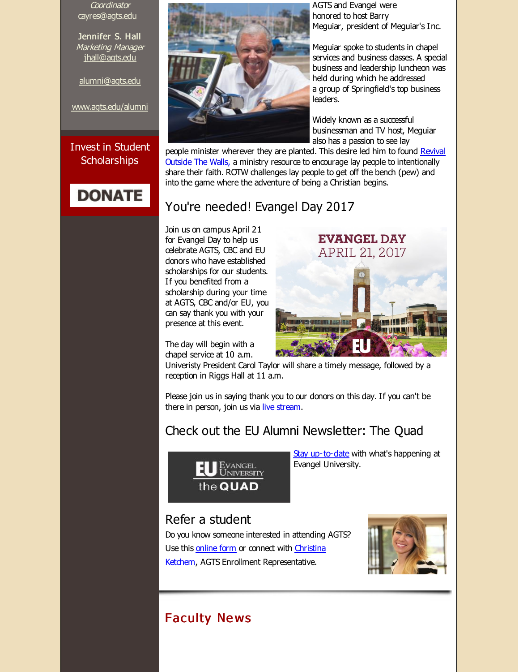**Coordinator** [cayres@agts.edu](mailto:cayres@agts.edu)

Jennifer S. Hall Marketing Manager [jhall@agts.edu](mailto:jhall@agts.edu)

[alumni@agts.edu](mailto:alumni@agts.edu)

[www.agts.edu/alumni](http://r20.rs6.net/tn.jsp?f=0011hiZm_TovUAi55Nh17sjl9_RqQByPQG5SdzwVeJloWcy0YH17lW7og12MqxwZKSUU92xeRMAg6v0Xhe4R43fJdMvVfOsc1tVg5Qr-WqUNtDpbpuzUdp-Yok-CVBNUUJjD3Kw6Ypm0si4MnLh-Rla7VSkNEmXbXIiPPhbQM7vWf-EdXrNKBpC5A==&c=&ch=)

#### Invest in Student **Scholarships**





AGTS and Evangel were honored to host Barry Meguiar, president of Meguiar's Inc.

Meguiar spoke to students in chapel services and business dasses. A special business and leadership luncheon was held during which he addressed a group of Springfield's top business leaders.

Widely known as a successful businessman and TV host, Meguiar also has a passion to see lay

people minister wherever they are planted. This desire led him to found Revival Outside The Walls, a ministry resource to encourage lay people to [intentionally](http://r20.rs6.net/tn.jsp?f=0011hiZm_TovUAi55Nh17sjl9_RqQByPQG5SdzwVeJloWcy0YH17lW7otEkf5QX48dQ_RB_jqDhT80Cf9kZhV4RYgJ-_whlM_kspBYjv5EIaWSKFLf2e8XqivA38n4M-DBO5gS2gpp8WZ2juLxyUeAR67kwv6RpcHiOVF1P1CfYs5E=&c=&ch=) share their faith. ROTW challenges lay people to get off the bench (pew) and into the game where the adventure of being a Christian begins.

#### You're needed! Evangel Day 2017

Join us on campus April 21 for Evangel Day to help us celebrate AGTS, CBC and EU donors who have established scholarships for our students. If you benefited from a scholarship during your time at AGTS, CBC and/or EU, you can say thank you with your presence at this event.



The day will begin with a chapel service at 10 a.m.

Univeristy President Carol Taylor will share a timely message, followed by a reception in Riggs Hall at 11 a.m.

Please join us in saying thank you to our donors on this day. If you can't be there in person, join us via live [stream](http://r20.rs6.net/tn.jsp?f=0011hiZm_TovUAi55Nh17sjl9_RqQByPQG5SdzwVeJloWcy0YH17lW7otaa9TLuTVXmRvR6I5gqQLbx2Yhkf8SvXdX2LNIGtmirE0epijT4_jkWN0TpIRP1JTIs7NjJjKLMUgH73ephDJk38woJRQtssiX1ZbNF6IsBdsYJjf7-9_DNvUWHrfmFOTlpM1vGaG8RiawTqE-LqFUqPb6pAceZ4odJfPLGeV1V&c=&ch=).

## Check out the EU Alumni Newsletter: The Quad



Stay [up-to-date](http://r20.rs6.net/tn.jsp?f=0011hiZm_TovUAi55Nh17sjl9_RqQByPQG5SdzwVeJloWcy0YH17lW7op36XTkbUT3snGux6vUPe1pyltLuBZHDUQPSTfknKyUU-qjqv0jOBN5saR3yVwJjVbFsA-_ci7reDMSG9nRybcLB1mVJHnp3j2Z-zG2YC4PPg_FyB2PGoJzvjPL4hZxQ-nw4G-x04ZLhitLQPlIusZsh--mlOBvb8nPRbnIGPNaIMcP7S65Pg4CeOVL0hPiMsP5DuuPyf8WSUrweEAu7vWU=&c=&ch=) with what's happening at Evangel University.

#### Refer a student

Do you know someone interested in attending AGTS? Use this [online](http://r20.rs6.net/tn.jsp?f=0011hiZm_TovUAi55Nh17sjl9_RqQByPQG5SdzwVeJloWcy0YH17lW7osg9LO2Mgf03alLb9HGzgM-iNbp0UWOEkq7wNdrHXaVmllH0OmfXaMh7E1gNSb5gdpmcgbVKHhAoQQYR2Gm6vPW4ek8yi7DIXCYEp-IfRlRE_2LaQ-VQtkwaQpYkwOkSXuyzKsTo5T_y&c=&ch=) form or connect with Christina Ketchem, AGTS Enrollment [Representative.](mailto:ketchemc@evangel.edu)



## **Faculty News**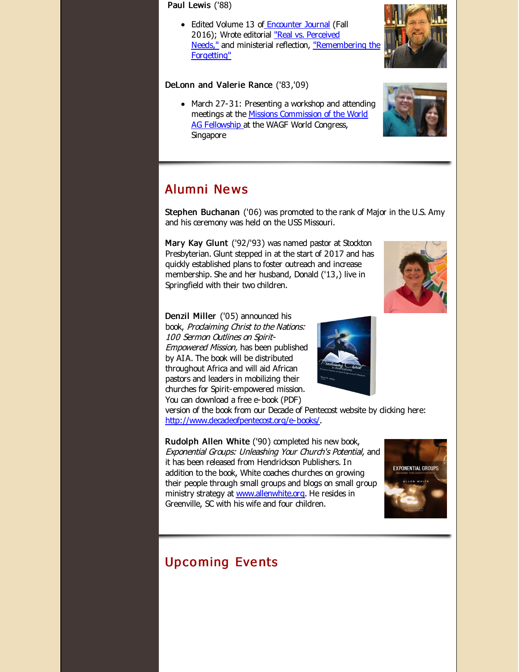Paul Lewis ('88)

• Edited Volume 13 of [Encounter](http://r20.rs6.net/tn.jsp?f=0011hiZm_TovUAi55Nh17sjl9_RqQByPQG5SdzwVeJloWcy0YH17lW7onK81CItbgCy5eyXVSfXqOKYglrwQydbr7Iu_C4jEMLscGtccZ4YdlkTblkpgaMymX8xy0uQRH-w4-1fOvdiOcGsoRV8aiR0tsnroejvOI6wfd3FARL4k49xhXq4hBo1c2VDeylV_Str-CJb9v71YuY=&c=&ch=) Journal (Fall 2016); Wrote editorial "Real vs. Perceived Needs," and [ministerial](http://r20.rs6.net/tn.jsp?f=0011hiZm_TovUAi55Nh17sjl9_RqQByPQG5SdzwVeJloWcy0YH17lW7otaa9TLuTVXmcbJhfcQ4JfQ_G2IM__EkAvcA_4rH6CypR5XEevnYggbYBA6zSNDYzAPrIsT2gHUg9sGv1XTTjcQil-9eiROQbLSFSkjmJfAT2Q5Szydy49rCwU8MLYqPbA0tjCPf3X4j76F1KIV1napKy_UJ9pF6bQS9qlfQrXD_pUh00inEOLV9xfA0v2boHQ==&c=&ch=) reflection, ["Remembering](http://r20.rs6.net/tn.jsp?f=0011hiZm_TovUAi55Nh17sjl9_RqQByPQG5SdzwVeJloWcy0YH17lW7otaa9TLuTVXmWjG8nxZdePNFg6hM320m5JptulrSXyqrnKWLrTvO2SgDjoCmWf1pi7rRsdnB-VBLWVIeb-5VW46Rh9sExUXYmnlG8oxhq4a8kSkPKjj5v3LkxlPQMXegBFz5W99_L8eqqduQUg5h3TMJkm2f4c-BHNkYcsya86D3OvWJKZfWWMMMk2ZvdWUk_SF03EBIEwZN-vQBpeBXfmY=&c=&ch=) the Forgetting"

#### DeLonn and Valerie Rance ('83,'09)

• March 27-31: Presenting a workshop and attending meetings at the Missions [Commission](http://r20.rs6.net/tn.jsp?f=0011hiZm_TovUAi55Nh17sjl9_RqQByPQG5SdzwVeJloWcy0YH17lW7otaa9TLuTVXmQskDesALqEwawMtH1VwGd0_AF5o213NFLzO4pka8uGA5TP0gg-8krFtVl0sfuFW9HF983WCPGzg-0zBWot6ks6Mo5SEki5BU0chvF6XYZlyhfy6X9jP2n-iCXdR6OGdtcVi6hbLFE3s=&c=&ch=) of the World AG Fellowship at the WAGF World Congress, Singapore

## Alumni Ne ws

Stephen Buchanan ('06) was promoted to the rank of Major in the U.S. Amy and his ceremony was held on the USS Missouri.

Mary Kay Glunt ('92/'93) was named pastor at Stockton Presbyterian. Glunt stepped in at the start of 2017 and has quickly established plans to foster outreach and increase membership. She and her husband, Donald ('13,) live in Springfield with their two children.

Denzil Miller ('05) announced his book, Prodaiming Christ to the Nations: 100 Sermon Outlines on Spirit-Empowered Mission, has been published by AIA. The book will be distributed throughout Africa and will aid African pastors and leaders in mobilizing their churches for Spirit-empowered mission. You can download a free e-book (PDF)

version of the book from our Decade of Pentecost website by dicking here: [http://www.decadeofpentecost.org/e-books/](http://r20.rs6.net/tn.jsp?f=0011hiZm_TovUAi55Nh17sjl9_RqQByPQG5SdzwVeJloWcy0YH17lW7otaa9TLuTVXmThoczjrdYda7luJF1ukVF89jKyB8RPNkdo3nlR2d5j2UTUq8w4VLD4NQ-wIT8O8zY-ehPqIqBbgBVeju6PnlzWhTrhKOZGOZSGi0CCEZ6RcWNb5sZ0ofdzHtOQ81NVs6j39Xp1RnBNY=&c=&ch=).

Rudolph Allen White ('90) completed his new book, Exponential Groups: Unleashing Your Church's Potential, and it has been released from Hendrickson Publishers. In addition to the book, White coaches churches on growing their people through small groups and blogs on small group ministry strategy at [www.allenwhite.org](http://r20.rs6.net/tn.jsp?f=0011hiZm_TovUAi55Nh17sjl9_RqQByPQG5SdzwVeJloWcy0YH17lW7otaa9TLuTVXm4UmsrIYyOiTOzR2HDlmnUGCnNPkMjmw1_1pndCOpso9IKRCvicZniVGXRNlKgntLuQAjClIHEnyIVZFDiKBQ7wqaOvDXbHpTIukT3K_koTo=&c=&ch=). He resides in Greenville, SC with his wife and four children.

# **Upcoming Events**